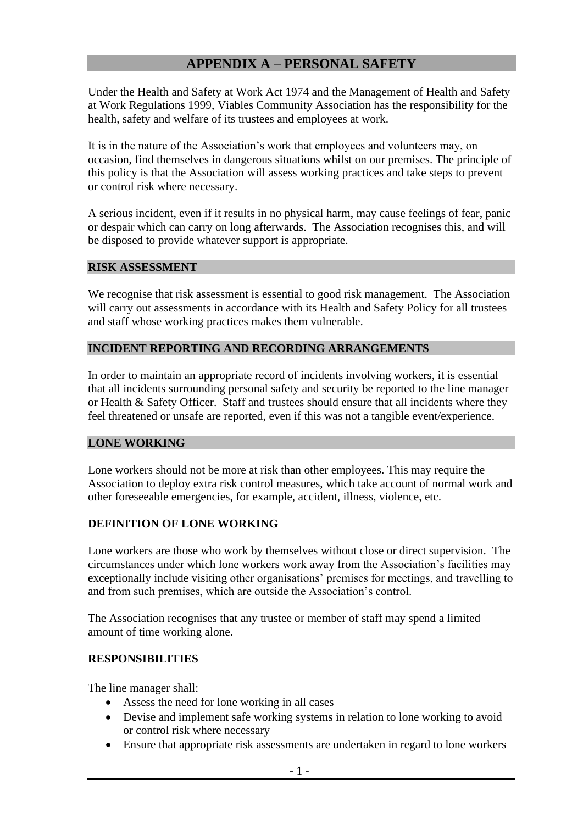# **APPENDIX A – PERSONAL SAFETY**

Under the Health and Safety at Work Act 1974 and the Management of Health and Safety at Work Regulations 1999, Viables Community Association has the responsibility for the health, safety and welfare of its trustees and employees at work.

It is in the nature of the Association's work that employees and volunteers may, on occasion, find themselves in dangerous situations whilst on our premises. The principle of this policy is that the Association will assess working practices and take steps to prevent or control risk where necessary.

A serious incident, even if it results in no physical harm, may cause feelings of fear, panic or despair which can carry on long afterwards. The Association recognises this, and will be disposed to provide whatever support is appropriate.

#### **RISK ASSESSMENT**

We recognise that risk assessment is essential to good risk management. The Association will carry out assessments in accordance with its Health and Safety Policy for all trustees and staff whose working practices makes them vulnerable.

#### **INCIDENT REPORTING AND RECORDING ARRANGEMENTS**

In order to maintain an appropriate record of incidents involving workers, it is essential that all incidents surrounding personal safety and security be reported to the line manager or Health & Safety Officer. Staff and trustees should ensure that all incidents where they feel threatened or unsafe are reported, even if this was not a tangible event/experience.

#### **LONE WORKING**

Lone workers should not be more at risk than other employees. This may require the Association to deploy extra risk control measures, which take account of normal work and other foreseeable emergencies, for example, accident, illness, violence, etc.

#### **DEFINITION OF LONE WORKING**

Lone workers are those who work by themselves without close or direct supervision. The circumstances under which lone workers work away from the Association's facilities may exceptionally include visiting other organisations' premises for meetings, and travelling to and from such premises, which are outside the Association's control.

The Association recognises that any trustee or member of staff may spend a limited amount of time working alone.

#### **RESPONSIBILITIES**

The line manager shall:

- Assess the need for lone working in all cases
- Devise and implement safe working systems in relation to lone working to avoid or control risk where necessary
- Ensure that appropriate risk assessments are undertaken in regard to lone workers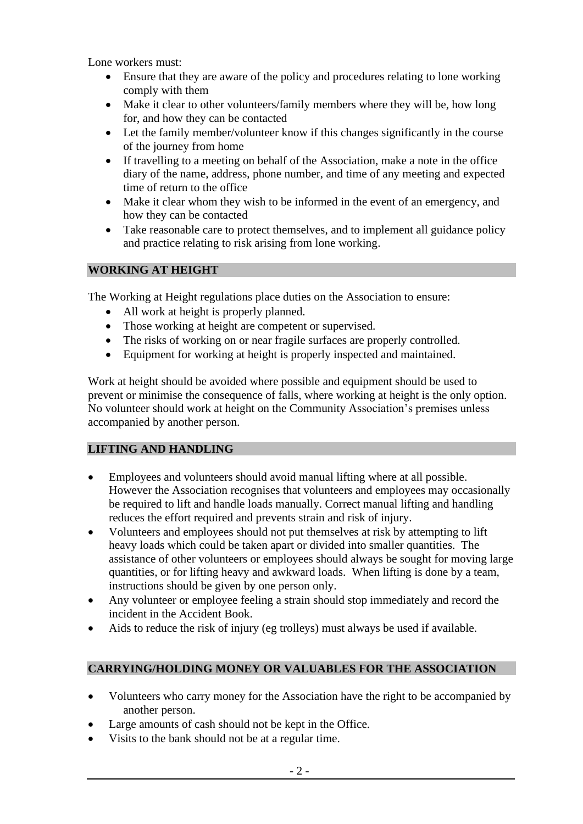Lone workers must:

- Ensure that they are aware of the policy and procedures relating to lone working comply with them
- Make it clear to other volunteers/family members where they will be, how long for, and how they can be contacted
- Let the family member/volunteer know if this changes significantly in the course of the journey from home
- If travelling to a meeting on behalf of the Association, make a note in the office diary of the name, address, phone number, and time of any meeting and expected time of return to the office
- Make it clear whom they wish to be informed in the event of an emergency, and how they can be contacted
- Take reasonable care to protect themselves, and to implement all guidance policy and practice relating to risk arising from lone working.

## **WORKING AT HEIGHT**

The Working at Height regulations place duties on the Association to ensure:

- All work at height is properly planned.
- Those working at height are competent or supervised.
- The risks of working on or near fragile surfaces are properly controlled.
- Equipment for working at height is properly inspected and maintained.

Work at height should be avoided where possible and equipment should be used to prevent or minimise the consequence of falls, where working at height is the only option. No volunteer should work at height on the Community Association's premises unless accompanied by another person.

## **LIFTING AND HANDLING**

- Employees and volunteers should avoid manual lifting where at all possible. However the Association recognises that volunteers and employees may occasionally be required to lift and handle loads manually. Correct manual lifting and handling reduces the effort required and prevents strain and risk of injury.
- Volunteers and employees should not put themselves at risk by attempting to lift heavy loads which could be taken apart or divided into smaller quantities. The assistance of other volunteers or employees should always be sought for moving large quantities, or for lifting heavy and awkward loads. When lifting is done by a team, instructions should be given by one person only.
- Any volunteer or employee feeling a strain should stop immediately and record the incident in the Accident Book.
- Aids to reduce the risk of injury (eg trolleys) must always be used if available.

## **CARRYING/HOLDING MONEY OR VALUABLES FOR THE ASSOCIATION**

- Volunteers who carry money for the Association have the right to be accompanied by another person.
- Large amounts of cash should not be kept in the Office.
- Visits to the bank should not be at a regular time.